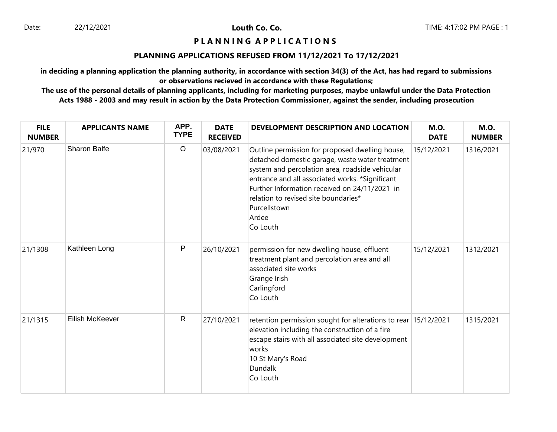# **P L A N N I N G A P P L I C A T I O N S**

#### **PLANNING APPLICATIONS REFUSED FROM 11/12/2021 To 17/12/2021**

**in deciding a planning application the planning authority, in accordance with section 34(3) of the Act, has had regard to submissions or observations recieved in accordance with these Regulations;**

| <b>FILE</b><br><b>NUMBER</b> | <b>APPLICANTS NAME</b> | APP.<br><b>TYPE</b> | <b>DATE</b><br><b>RECEIVED</b> | DEVELOPMENT DESCRIPTION AND LOCATION                                                                                                                                                                                                                                                                                                   | <b>M.O.</b><br><b>DATE</b> | <b>M.O.</b><br><b>NUMBER</b> |
|------------------------------|------------------------|---------------------|--------------------------------|----------------------------------------------------------------------------------------------------------------------------------------------------------------------------------------------------------------------------------------------------------------------------------------------------------------------------------------|----------------------------|------------------------------|
| 21/970                       | Sharon Balfe           | $\circ$             | 03/08/2021                     | Outline permission for proposed dwelling house,<br>detached domestic garage, waste water treatment<br>system and percolation area, roadside vehicular<br>entrance and all associated works. *Significant<br>Further Information received on 24/11/2021 in<br>relation to revised site boundaries*<br>Purcellstown<br>Ardee<br>Co Louth | 15/12/2021                 | 1316/2021                    |
| 21/1308                      | Kathleen Long          | P                   | 26/10/2021                     | permission for new dwelling house, effluent<br>treatment plant and percolation area and all<br>associated site works<br>Grange Irish<br>Carlingford<br>Co Louth                                                                                                                                                                        | 15/12/2021                 | 1312/2021                    |
| 21/1315                      | Eilish McKeever        | $\mathsf{R}$        | 27/10/2021                     | retention permission sought for alterations to rear 15/12/2021<br>elevation including the construction of a fire<br>escape stairs with all associated site development<br>works<br>10 St Mary's Road<br><b>Dundalk</b><br>Co Louth                                                                                                     |                            | 1315/2021                    |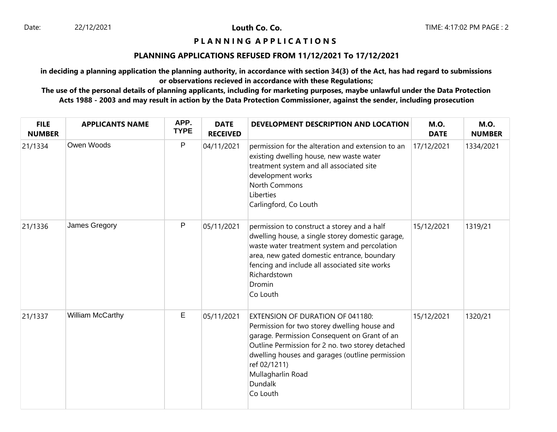## **P L A N N I N G A P P L I C A T I O N S**

#### **PLANNING APPLICATIONS REFUSED FROM 11/12/2021 To 17/12/2021**

**in deciding a planning application the planning authority, in accordance with section 34(3) of the Act, has had regard to submissions or observations recieved in accordance with these Regulations;**

| <b>FILE</b><br><b>NUMBER</b> | <b>APPLICANTS NAME</b> | APP.<br><b>TYPE</b> | <b>DATE</b><br><b>RECEIVED</b> | DEVELOPMENT DESCRIPTION AND LOCATION                                                                                                                                                                                                                                                                       | <b>M.O.</b><br><b>DATE</b> | <b>M.O.</b><br><b>NUMBER</b> |
|------------------------------|------------------------|---------------------|--------------------------------|------------------------------------------------------------------------------------------------------------------------------------------------------------------------------------------------------------------------------------------------------------------------------------------------------------|----------------------------|------------------------------|
| 21/1334                      | Owen Woods             | $\mathsf{P}$        | 04/11/2021                     | permission for the alteration and extension to an<br>existing dwelling house, new waste water<br>treatment system and all associated site<br>development works<br>North Commons<br>Liberties<br>Carlingford, Co Louth                                                                                      | 17/12/2021                 | 1334/2021                    |
| 21/1336                      | James Gregory          | P                   | 05/11/2021                     | permission to construct a storey and a half<br>dwelling house, a single storey domestic garage,<br>waste water treatment system and percolation<br>area, new gated domestic entrance, boundary<br>fencing and include all associated site works<br>Richardstown<br>Dromin<br>Co Louth                      | 15/12/2021                 | 1319/21                      |
| 21/1337                      | William McCarthy       | $\mathsf E$         | 05/11/2021                     | <b>EXTENSION OF DURATION OF 041180:</b><br>Permission for two storey dwelling house and<br>garage. Permission Consequent on Grant of an<br>Outline Permission for 2 no. two storey detached<br>dwelling houses and garages (outline permission<br>ref 02/1211)<br>Mullagharlin Road<br>Dundalk<br>Co Louth | 15/12/2021                 | 1320/21                      |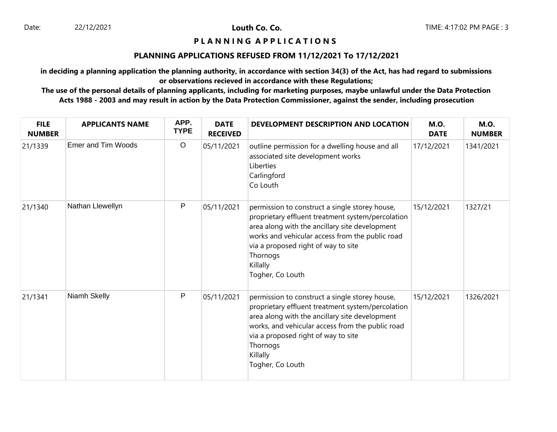## **P L A N N I N G A P P L I C A T I O N S**

#### **PLANNING APPLICATIONS REFUSED FROM 11/12/2021 To 17/12/2021**

**in deciding a planning application the planning authority, in accordance with section 34(3) of the Act, has had regard to submissions or observations recieved in accordance with these Regulations;**

| <b>FILE</b><br><b>NUMBER</b> | <b>APPLICANTS NAME</b>    | APP.<br><b>TYPE</b> | <b>DATE</b><br><b>RECEIVED</b> | DEVELOPMENT DESCRIPTION AND LOCATION                                                                                                                                                                                                                                                         | <b>M.O.</b><br><b>DATE</b> | <b>M.O.</b><br><b>NUMBER</b> |
|------------------------------|---------------------------|---------------------|--------------------------------|----------------------------------------------------------------------------------------------------------------------------------------------------------------------------------------------------------------------------------------------------------------------------------------------|----------------------------|------------------------------|
| 21/1339                      | <b>Emer and Tim Woods</b> | $\circ$             | 05/11/2021                     | outline permission for a dwelling house and all<br>associated site development works<br>Liberties<br>Carlingford<br>Co Louth                                                                                                                                                                 | 17/12/2021                 | 1341/2021                    |
| 21/1340                      | Nathan Llewellyn          | P                   | 05/11/2021                     | permission to construct a single storey house,<br>proprietary effluent treatment system/percolation<br>area along with the ancillary site development<br>works and vehicular access from the public road<br>via a proposed right of way to site<br>Thornogs<br>Killally<br>Togher, Co Louth  | 15/12/2021                 | 1327/21                      |
| 21/1341                      | Niamh Skelly              | P                   | 05/11/2021                     | permission to construct a single storey house,<br>proprietary effluent treatment system/percolation<br>area along with the ancillary site development<br>works, and vehicular access from the public road<br>via a proposed right of way to site<br>Thornogs<br>Killally<br>Togher, Co Louth | 15/12/2021                 | 1326/2021                    |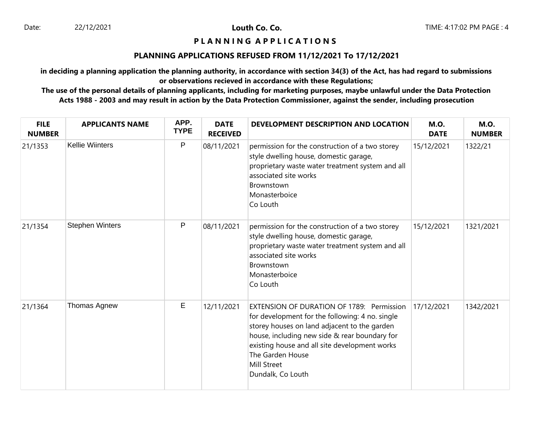# **P L A N N I N G A P P L I C A T I O N S**

#### **PLANNING APPLICATIONS REFUSED FROM 11/12/2021 To 17/12/2021**

**in deciding a planning application the planning authority, in accordance with section 34(3) of the Act, has had regard to submissions or observations recieved in accordance with these Regulations;**

| <b>FILE</b><br><b>NUMBER</b> | <b>APPLICANTS NAME</b> | APP.<br><b>TYPE</b> | <b>DATE</b><br><b>RECEIVED</b> | DEVELOPMENT DESCRIPTION AND LOCATION                                                                                                                                                                                                                                                                          | <b>M.O.</b><br><b>DATE</b> | <b>M.O.</b><br><b>NUMBER</b> |
|------------------------------|------------------------|---------------------|--------------------------------|---------------------------------------------------------------------------------------------------------------------------------------------------------------------------------------------------------------------------------------------------------------------------------------------------------------|----------------------------|------------------------------|
| 21/1353                      | <b>Kellie Wiinters</b> | P                   | 08/11/2021                     | permission for the construction of a two storey<br>style dwelling house, domestic garage,<br>proprietary waste water treatment system and all<br>associated site works<br>Brownstown<br>Monasterboice<br>Co Louth                                                                                             | 15/12/2021                 | 1322/21                      |
| 21/1354                      | <b>Stephen Winters</b> | P                   | 08/11/2021                     | permission for the construction of a two storey<br>style dwelling house, domestic garage,<br>proprietary waste water treatment system and all<br>associated site works<br>Brownstown<br>Monasterboice<br>Co Louth                                                                                             | 15/12/2021                 | 1321/2021                    |
| 21/1364                      | Thomas Agnew           | E                   | 12/11/2021                     | <b>EXTENSION OF DURATION OF 1789: Permission</b><br>for development for the following: 4 no. single<br>storey houses on land adjacent to the garden<br>house, including new side & rear boundary for<br>existing house and all site development works<br>The Garden House<br>Mill Street<br>Dundalk, Co Louth | 17/12/2021                 | 1342/2021                    |